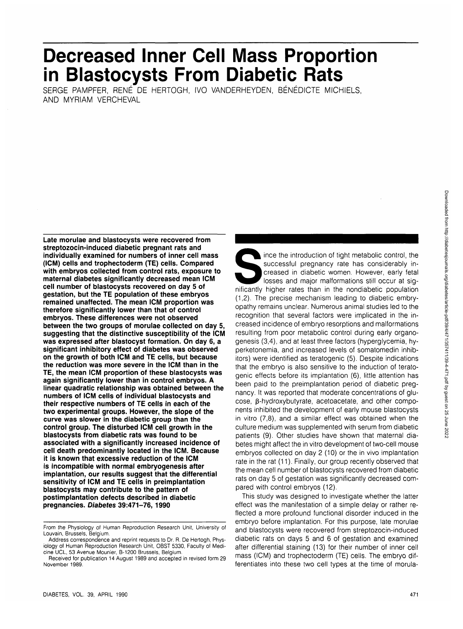# **Decreased Inner Cell Mass Proportion in Blastocysts From Diabetic Rats**

SERGE PAMPFER, RENÉ DE HERTOGH, IVO VANDERHEYDEN, BÉNÉDICTE MICHIELS, AND MYRIAM VERCHEVAL

**Late morulae and blastocysts were recovered from streptozocin-induced diabetic pregnant rats and individually examined for numbers of inner cell mass (ICM) cells and trophectoderm (TE) cells. Compared with embryos collected from control rats, exposure to maternal diabetes significantly decreased mean ICM cell number of blastocysts recovered on day 5 of gestation, but the TE population of these embryos remained unaffected. The mean ICM proportion was therefore significantly lower than that of control embryos. These differences were not observed between the two groups of morulae collected on day 5, suggesting that the distinctive susceptibility of the ICM was expressed after blastocyst formation. On day 6, a significant inhibitory effect of diabetes was observed on the growth of both ICM and TE cells, but because the reduction was more severe in the ICM than in the TE, the mean ICM proportion of these blastocysts was again significantly lower than in control embryos. A linear quadratic relationship was obtained between the numbers of ICM cells of individual blastocysts and their respective numbers of TE cells in each of the two experimental groups. However, the slope of the curve was slower in the diabetic group than the control group. The disturbed ICM cell growth in the blastocysts from diabetic rats was found to be associated with a significantly increased incidence of cell death predominantly located in the ICM. Because it is known that excessive reduction of the ICM is incompatible with normal embryogenesis after implantation, our results suggest that the differential sensitivity of ICM and TE cells in preimplantation blastocysts may contribute to the pattern of postimplantation defects described in diabetic pregnancies. Diabetes 39:471-76, 1990**

Since the introduction of tight metabolic control, the successful pregnancy rate has considerably increased in diabetic women. However, early fetal losses and major malformations still occur at significantly higher rates t successful pregnancy rate has considerably increased in diabetic women. However, early fetal losses and major malformations still occur at sig-(1,2). The precise mechanism leading to diabetic embryopathy remains unclear. Numerous animal studies led to the recognition that several factors were implicated in the increased incidence of embryo resorptions and malformations resulting from poor metabolic control during early organogenesis (3,4), and at least three factors (hyperglycemia, hyperketonemia, and increased levels of somatomedin inhibitors) were identified as teratogenic (5). Despite indications that the embryo is also sensitive to the induction of teratogenic effects before its implantation (6), little attention has been paid to the preimplantation period of diabetic pregnancy. It was reported that moderate concentrations of glucose,  $\beta$ -hydroxybutyrate, acetoacetate, and other components inhibited the development of early mouse blastocysts in vitro (7,8), and a similar effect was obtained when the culture medium was supplemented with serum from diabetic patients (9). Other studies have shown that maternal diabetes might affect the in vitro development of two-cell mouse embryos collected on day 2 (10) or the in vivo implantation rate in the rat (11). Finally, our group recently observed that the mean cell number of blastocysts recovered from diabetic rats on day 5 of gestation was significantly decreased compared with control embryos (12).

This study was designed to investigate whether the latter effect was the manifestation of a simple delay or rather reflected a more profound functional disorder induced in the embryo before implantation. For this purpose, late morulae and blastocysts were recovered from streptozocin-induced diabetic rats on days 5 and 6 of gestation and examined after differential staining (13) for their number of inner cell mass (ICM) and trophectoderm (TE) cells. The embryo differentiates into these two cell types at the time of morula-

From the Physiology of Human Reproduction Research Unit, University of Louvain, Brussels, Belgium.

Address correspondence and reprint requests to Dr. R. De Hertogh, Physiology of Human Reproduction Research Unit, OBST 5330, Faculty of Medicine UCL, 53 Avenue Mounier, B-1200 Brussels, Belgium.

Received for publication 14 August 1989 and accepted in revised form 29 November 1989.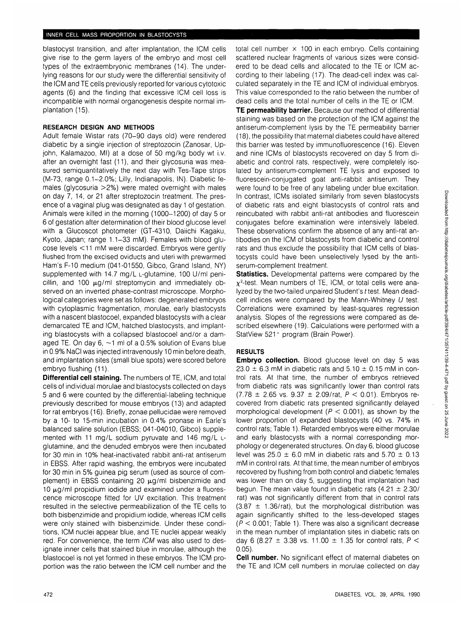blastocyst transition, and after implantation, the ICM cells give rise to the germ layers of the embryo and most cell types of the extraembryonic membranes (14). The underlying reasons for our study were the differential sensitivity of the ICM and TE cells previously reported for various cytotoxic agents (6) and the finding that excessive ICM cell loss is incompatible with normal organogenesis despite normal implantation (15).

## **RESEARCH DESIGN AND METHODS**

Adult female Wistar rats (70-90 days old) were rendered diabetic by a single injection of streptozocin (Zanosar, Upjohn, Kalamazoo, Ml) at a dose of 50 mg/kg body wt i.v. after an overnight fast (11), and their glycosuria was measured semiquantitatively the next day with Tes-Tape strips (M-73, range 0.1-2.0%; Lilly, Indianapolis, IN). Diabetic females (glycosuria >2%) were mated overnight with males on day 7, 14, or 21 after streptozocin treatment. The presence of a vaginal plug was designated as day 1 of gestation. Animals were killed in the morning (1000-1200) of day 5 or 6 of gestation after determination of their blood glucose level with a Glucoscot photometer (GT-4310, Daiichi Kagaku, Kyoto, Japan; range 1.1-33 mM). Females with blood glucose levels <11 mM were discarded. Embryos were gently flushed from the excised oviducts and uteri with prewarmed Ham's F-10 medium (041-01550, Gibco, Grand Island, NY) supplemented with 14.7 mg/L L-glutamine, 100 U/ml penicillin, and 100  $\mu$ g/ml streptomycin and immediately observed on an inverted phase-contrast microscope. Morphological categories were set as follows: degenerated embryos with cytoplasmic fragmentation, morulae, early blastocysts with a nascent blastocoel, expanded blastocysts with a clear demarcated TE and ICM, hatched blastocysts, and implanting blastocysts with a collapsed blastocoel and/or a damaged TE. On day  $6, \sim 1$  ml of a 0.5% solution of Evans blue in 0.9% NaCI was injected intravenously 10 min before death, and implantation sites (small blue spots) were scored before embryo flushing (11).

**Differential cell staining.** The numbers of TE, ICM, and total cells of individual morulae and blastocysts collected on days 5 and 6 were counted by the differential-labeling technique previously described for mouse embryos (13) and adapted for rat embryos (16). Briefly, zonae pellucidae were removed by a 10- to 15-min incubation in 0.4% pronase in Earle's balanced saline solution (EBSS; 041-04010, Gibco) supplemented with 11 mg/L sodium pyruvate and 146 mg/L Lglutamine, and the denuded embryos were then incubated for 30 min in 10% heat-inactivated rabbit anti-rat antiserum in EBSS. After rapid washing, the embryos were incubated for 30 min in 5% guinea pig serum (used as source of complement) in EBSS containing 20  $\mu$ g/ml bisbenzimide and 10  $\mu$ g/ml propidium iodide and examined under a fluorescence microscope fitted for UV excitation. This treatment resulted in the selective permeabilization of the TE cells to both bisbenzimide and propidium iodide, whereas ICM cells were only stained with bisbenzimide. Under these conditions, ICM nuclei appear blue, and TE nuclei appear weakly red. For convenience, the term ICM was also used to designate inner cells that stained blue in morulae, although the blastocoel is not yet formed in these embryos. The ICM proportion was the ratio between the ICM cell number and the

total cell number  $\times$  100 in each embryo. Cells containing scattered nuclear fragments of various sizes were considered to be dead cells and allocated to the TE or ICM according to their labeling (17). The dead-cell index was calculated separately in the TE and ICM of individual embryos. This value corresponded to the ratio between the number of dead cells and the total number of cells in the TE or ICM.

**TE permeability barrier.** Because our method of differential staining was based on the protection of the ICM against the antiserum-complement lysis by the TE permeability barrier (18), the possibility that maternal diabetes could have altered this barrier was tested by immunofluorescence (16). Eleven and nine ICMs of blastocysts recovered on day 5 from diabetic and control rats, respectively, were completely isolated by antiserum-complement TE lysis and exposed to fluorescein-conjugated goat anti-rabbit antiserum. They were found to be free of any labeling under blue excitation. In contrast, ICMs isolated similarly from seven blastocysts of diabetic rats and eight blastocysts of control rats and reincubated with rabbit anti-rat antibodies and fluorescein conjugates before examination were intensively labeled. These observations confirm the absence of any anti-rat antibodies on the ICM of blastocysts from diabetic and control rats and thus exclude the possibility that ICM cells of blastocysts could have been unselectively lysed by the antiserum-complement treatment.

**Statistics.** Developmental patterns were compared by the  $\chi^2$ -test. Mean numbers of TE, ICM, or total cells were analyzed by the two-tailed unpaired Student's t test. Mean deadcell indices were compared by the Mann-Whitney U test. Correlations were examined by least-squares regression analysis. Slopes of the regressions were compared as described elsewhere (19). Calculations were performed with a StatView 521<sup>+</sup> program (Brain Power).

#### **RESULTS**

**Embryo collection.** Blood glucose level on day 5 was  $23.0 \pm 6.3$  mM in diabetic rats and  $5.10 \pm 0.15$  mM in control rats. At that time, the number of embryos retrieved from diabetic rats was significantly lower than control rats  $(7.78 \pm 2.65 \text{ vs. } 9.37 \pm 2.09/\text{rat}, P < 0.01)$ . Embryos recovered from diabetic rats presented significantly delayed morphological development ( $P < 0.001$ ), as shown by the lower proportion of expanded blastocysts (40 vs. 74% in control rats; Table 1). Retarded embryos were either morulae and early blastocysts with a normal corresponding morphology or degenerated structures. On day 6, blood glucose level was  $25.0 \pm 6.0$  mM in diabetic rats and  $5.70 \pm 0.13$ mM in control rats. At that time, the mean number of embryos recovered by flushing from both control and diabetic females was lower than on day 5, suggesting that implantation had begun. The mean value found in diabetic rats  $(4.21 \pm 2.30)$ rat) was not significantly different from that in control rats  $(3.87 \pm 1.36/\text{rat})$ , but the morphological distribution was again significantly shifted to the less-developed stages  $(P < 0.001$ ; Table 1). There was also a significant decrease in the mean number of implantation sites in diabetic rats on day 6 (8.27  $\pm$  3.38 vs. 11.00  $\pm$  1.35 for control rats, P < 0.05).

**Cell number.** No significant effect of maternal diabetes on the TE and ICM cell numbers in morulae collected on day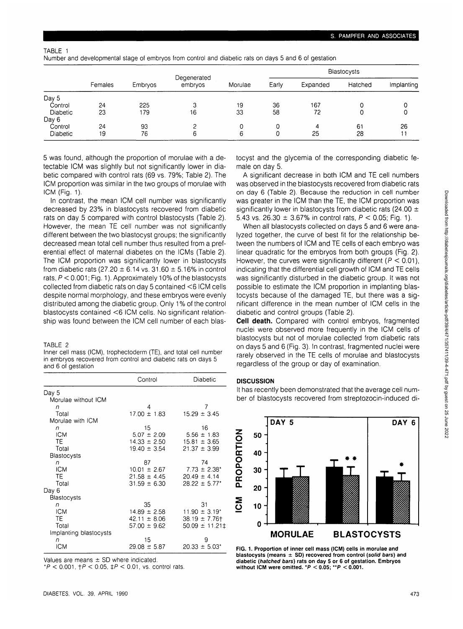### TABLE 1

Number and developmental stage of embryos from control and diabetic rats on days 5 and 6 of gestation

|          | Females | <b>Embryos</b> | Degenerated<br>embryos | Morulae | Blastocysts |          |         |            |
|----------|---------|----------------|------------------------|---------|-------------|----------|---------|------------|
|          |         |                |                        |         | Early       | Expanded | Hatched | Implanting |
| Day 5    |         |                |                        |         |             |          |         |            |
| Control  | 24      | 225            | 3                      | 19      | 36          | 167      |         | ∩          |
| Diabetic | 23      | 179            | 16                     | 33      | 58          | 72       |         | 0          |
| Day 6    |         |                |                        |         |             |          |         |            |
| Control  | 24      | 93             |                        |         |             | 4        | 61      | 26         |
| Diabetic | 19      | 76             | 6                      | 6       | υ           | 25       | 28      | 11         |

5 was found, although the proportion of morulae with a detectable ICM was slightly but not significantly lower in diabetic compared with control rats (69 vs. 79%; Table 2). The ICM proportion was similar in the two groups of morulae with ICM (Fig. 1).

In contrast, the mean ICM cell number was significantly decreased by 23% in blastocysts recovered from diabetic rats on day 5 compared with control blastocysts (Table 2). However, the mean TE cell number was not significantly different between the two blastocyst groups; the significantly decreased mean total cell number thus resulted from a preferential effect of maternal diabetes on the ICMs (Table 2). The ICM proportion was significantly lower in blastocysts from diabetic rats (27.20  $\pm$  6.14 vs. 31.60  $\pm$  5.16% in control rats, P < 0.001; Fig. 1). Approximately 10% of the blastocysts collected from diabetic rats on day 5 contained <6 ICM cells despite normal morphology, and these embryos were evenly distributed among the diabetic group. Only 1% of the control blastocysts contained <6 ICM cells. No significant relationship was found between the ICM cell number of each blas-

#### TABLE 2

Inner cell mass (ICM), trophectoderm (TE), and total cell number in embryos recovered from control and diabetic rats on days 5 and 6 of gestation

|                        | Control          | Diabetic                      |
|------------------------|------------------|-------------------------------|
| Day 5                  |                  |                               |
| Morulae without ICM    |                  |                               |
| n                      | 4                | 7                             |
| Total                  | $17.00 \pm 1.83$ | $15.29 \pm 3.45$              |
| Morulae with ICM       |                  |                               |
| n                      | 15               | 16                            |
| ICM                    | $5.07 \pm 2.09$  | $5.56 \pm 1.83$               |
| TE.                    | $14.33 \pm 2.50$ | $15.81 \pm 3.65$              |
| Total                  | $19.40 \pm 3.54$ | $21.37 \pm 3.99$              |
| <b>Blastocysts</b>     |                  |                               |
| n                      | 87               | 74                            |
| <b>ICM</b>             | $10.01 \pm 2.67$ | $7.73 \pm 2.38^*$             |
| TE.                    | $21.58 \pm 4.45$ | $20.49 \pm 4.14$              |
| Total                  | $31.59 \pm 6.30$ | $28.22 \pm 5.77$ *            |
| Day 6                  |                  |                               |
| Blastocysts            |                  |                               |
| n                      | 35               | 31                            |
| <b>ICM</b>             | $14.89 \pm 2.58$ | $11.90 \pm 3.19^*$            |
| TE.                    | $42.11 \pm 8.06$ | $38.19 \pm 7.76$ <sup>+</sup> |
| Total                  | $57.00 \pm 9.62$ | $50.09 \pm 11.21 \pm 1$       |
| Implanting blastocysts |                  |                               |
| n                      | 15               | 9                             |
| <b>ICM</b>             | $29.08 \pm 5.87$ | $20.33 \pm 5.03^*$            |

Values are means  $\pm$  SD where indicated.

 $*P < 0.001$ ,  $+P < 0.05$ ,  $+P < 0.01$ , vs. control rats.

tocyst and the glycemia of the corresponding diabetic female on day 5.

A significant decrease in both ICM and TE cell numbers was observed in the blastocysts recovered from diabetic rats on day 6 (Table 2). Because the reduction in cell number was greater in the ICM than the TE, the ICM proportion was significantly lower in blastocysts from diabetic rats (24.00  $\pm$ 5.43 vs. 26.30  $\pm$  3.67% in control rats,  $P < 0.05$ ; Fig. 1).

When all blastocysts collected on days 5 and 6 were analyzed together, the curve of best fit for the relationship between the numbers of ICM and TE cells of each embryo was linear quadratic for the embryos from both groups (Fig. 2). However, the curves were significantly different ( $P < 0.01$ ), indicating that the differential cell growth of ICM and TE cells was significantly disturbed in the diabetic group. It was not possible to estimate the ICM proportion in implanting blastocysts because of the damaged TE, but there was a significant difference in the mean number of ICM cells in the diabetic and control groups (Table 2).

**Cell death.** Compared with control embryos, fragmented nuclei were observed more frequently in the ICM cells of blastocysts but not of morulae collected from diabetic rats on days 5 and 6 (Fig. 3). In contrast, fragmented nuclei were rarely observed in the TE cells of morulae and blastocysts regardless of the group or day of examination.

## **DISCUSSION**

It has recently been demonstrated that the average cell number of blastocysts recovered from streptozocin-induced di-



**FIG. 1. Proportion of inner cell mass (ICM) cells in morulae and blastocysts (means ± SD) recovered from control (solid bars) and diabetic (hatched bars) rats on day 5 or 6 of gestation. Embryos without ICM were omitted. \*P < 0.05; \*\*P < 0.001.**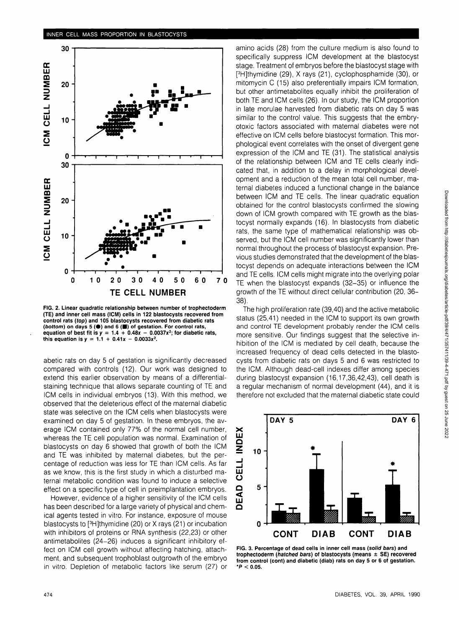

**FIG. 2. Linear quadratic relationship between number of trophectoderm (TE) and inner cell mass (ICM) cells in 122 blastocysts recovered from control rats {top) and 105 blastocysts recovered from diabetic rats (bottom) on days 5 (•) and 6 (•) of gestation. For control rats,** equation of best fit is  $y = 1.4 + 0.48x - 0.0037x^2$ ; for diabetic rats, this equation is  $y = 1.1 + 0.41x - 0.0033x^2$ .

abetic rats on day 5 of gestation is significantly decreased compared with controls (12). Our work was designed to extend this earlier observation by means of a differentialstaining technique that allows separate counting of TE and ICM cells in individual embryos (13). With this method, we observed that the deleterious effect of the maternal diabetic state was selective on the ICM cells when blastocysts were examined on day 5 of gestation. In these embryos, the average ICM contained only 77% of the normal cell number, whereas the TE cell population was normal. Examination of blastocysts on day 6 showed that growth of both the ICM and TE was inhibited by maternal diabetes, but the percentage of reduction was less for TE than ICM cells. As far as we know, this is the first study in which a disturbed maternal metabolic condition was found to induce a selective effect on a specific type of cell in preimplantation embryos.

However, evidence of a higher sensitivity of the ICM cells has been described for a large variety of physical and chemical agents tested in vitro. For instance, exposure of mouse blastocysts to [<sup>3</sup> H]thymidine (20) or X rays (21) or incubation with inhibitors of proteins or RNA synthesis (22,23) or other antimetabolites (24-26) induces a significant inhibitory effect on ICM cell growth without affecting hatching, attachment, and subsequent trophoblast outgrowth of the embryo in vitro. Depletion of metabolic factors like serum (27) or amino acids (28) from the culture medium is also found to specifically suppress ICM development at the blastocyst stage. Treatment of embryos before the blastocyst stage with [ 3 H]thymidine (29), X rays (21), cyclophosphamide (30), or mitomycin C (15) also preferentially impairs ICM formation, but other antimetabolites equally inhibit the proliferation of both TE and ICM cells (26). In our study, the ICM proportion in late morulae harvested from diabetic rats on day 5 was similar to the control value. This suggests that the embryotoxic factors associated with maternal diabetes were not effective on ICM cells before blastocyst formation. This morphological event correlates with the onset of divergent gene expression of the ICM and TE (31). The statistical analysis of the relationship between ICM and TE cells clearly indicated that, in addition to a delay in morphological development and a reduction of the mean total cell number, maternal diabetes induced a functional change in the balance between ICM and TE cells. The linear quadratic equation obtained for the control blastocysts confirmed the slowing down of ICM growth compared with TE growth as the blastocyst normally expands (16). In blastocysts from diabetic rats, the same type of mathematical relationship was observed, but the ICM cell number was significantly lower than normal throughout the process of blastocyst expansion. Previous studies demonstrated that the development of the blastocyst depends on adequate interactions between the ICM and TE cells. ICM cells might migrate into the overlying polar TE when the blastocyst expands (32-35) or influence the growth of the TE without direct cellular contribution (20, 36- 38).

The high proliferation rate (39,40) and the active metabolic status (25,41) needed in the ICM to support its own growth and control TE development probably render the ICM cells more sensitive. Our findings suggest that the selective inhibition of the ICM is mediated by cell death, because the increased frequency of dead cells detected in the blastocysts from diabetic rats on days 5 and 6 was restricted to the ICM. Although dead-cell indexes differ among species during blastocyst expansion (16,17,36,42,43), cell death is a regular mechanism of normal development (44), and it is therefore not excluded that the maternal diabetic state could



**FIG. 3. Percentage of dead cells in inner cell mass (solid bars) and trophectoderm (hatched bars) of blastocysts (means ± SE) recovered from control (cont) and diabetic (diab) rats on day 5 or 6 of gestation. \*P < 0.05.**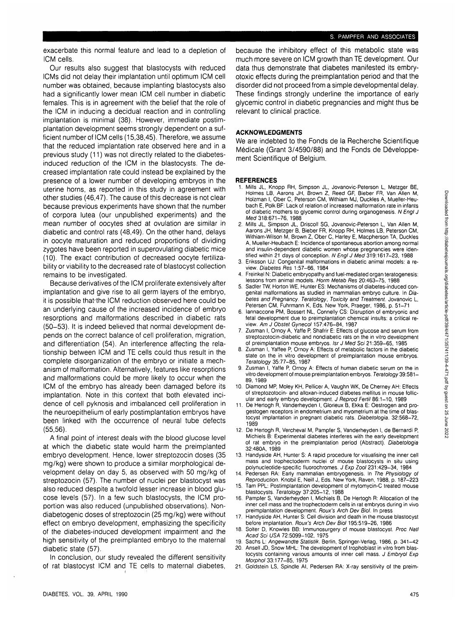exacerbate this normal feature and lead to a depletion of ICM cells.

Our results also suggest that blastocysts with reduced ICMs did not delay their implantation until optimum ICM cell number was obtained, because implanting blastocysts also had a significantly lower mean ICM cell number in diabetic females. This is in agreement with the belief that the role of the ICM in inducing a decidual reaction and in controlling implantation is minimal (38). However, immediate postimplantation development seems strongly dependent on a sufficient number of ICM cells (15,38,45). Therefore, we assume that the reduced implantation rate observed here and in a previous study (11) was not directly related to the diabetesinduced reduction of the ICM in the blastocysts. The decreased implantation rate could instead be explained by the presence of a lower number of developing embryos in the uterine horns, as reported in this study in agreement with other studies (46,47). The cause of this decrease is not clear because previous experiments have shown that the number of corpora lutea (our unpublished experiments) and the mean number of oocytes shed at ovulation are similar in diabetic and control rats (48,49). On the other hand, delays in oocyte maturation and reduced proportions of dividing zygotes have been reported in superovulating diabetic mice (10). The exact contribution of decreased oocyte fertilizability or viability to the decreased rate of blastocyst collection remains to be investigated.

Because derivatives of the ICM proliferate extensively after implantation and give rise to all germ layers of the embryo, it is possible that'the ICM reduction observed here could be an underlying cause of the increased incidence of embryo resorptions and malformations described in diabetic rats (50-53). It is indeed believed that normal development depends on the correct balance of cell proliferation, migration, and differentiation (54). An interference affecting the relationship between ICM and TE cells could thus result in the complete disorganization of the embryo or initiate a mechanism of malformation. Alternatively, features like resorptions and malformations could be more likely to occur when the ICM of the embryo has already been damaged before its implantation. Note in this context that both elevated incidence of cell pyknosis and imbalanced cell proliferation in the neuroepithelium of early postimplantation embryos have been linked with the occurrence of neural tube defects  $(55,56)$ 

A final point of interest deals with the blood glucose level at which the diabetic state would harm the preimplanted embryo development. Hence, lower streptozocin doses (35 mg/kg) were shown to produce a similar morphological development delay on day 5, as observed with 50 mg/kg of streptozocin (57). The number of nuclei per blastocyst was also reduced despite a twofold lesser increase in blood glucose levels (57). In a few such blastocysts, the ICM proportion was also reduced (unpublished observations). Nondiabetogenic doses of streptozocin (25 mg/kg) were without effect on embryo development, emphasizing the specificity of the diabetes-induced development impairment and the high sensitivity of the preimplanted embryo to the maternal diabetic state (57).

In conclusion, our study revealed the different sensitivity of rat blastocyst ICM and TE cells to maternal diabetes,

because the inhibitory effect of this metabolic state was much more severe on ICM growth than TE development. Our data thus demonstrate that diabetes manifested its embryotoxic effects during the preimplantation period and that the disorder did not proceed from a simple developmental delay. These findings strongly underline the importance of early glycemic control in diabetic pregnancies and might thus be relevant to clinical practice.

## **ACKNOWLEDGMENTS**

We are indebted to the Fonds de la Recherche Scientifique Médicale (Grant 3/4590/88) and the Fonds de Développement Scientifique of Belgium.

## **REFERENCES**

- 1. Mills JL, Knopp RH, Simpson JL, Jovanovic-Peterson L, Metzger BE, Holmes LB, Aarons JH, Brown Z, Reed GF, Bieber FR, Van Allen M, Holzman I, Ober C, Peterson CM, Withiam MJ, Duckies A, Mueller-Heubach E, Polk BF: Lack of relation of increased malformation rate in infants of diabetic mothers to glycemic control during organogenesis. N Engl J Med 318:671-76, 1988
- 2. Mills JL, Simpson JL, Driscoll SG, Jovanovic-Peterson L, Van Allen M, Aarons JH, Metzger B, Bieber FR, Knopp RH, Holmes LB, Peterson CM, Withiam-Wilson M, Brown Z, Ober C, Harley E, Macpherson TA, Duckies A, Mueller-Heubach E: Incidence of spontaneous abortion among normal and insulin-dependent diabetic women whose pregnancies were identified within 21 days of conception. N Engl J Med 319:1617-23, 1988
- 3. Eriksson UJ: Congenital malformations in diabetic animal models: a review. Diabetes Res 1:57-66, 1984
- 4. Freinkel N: Diabetic embryopathy and fuel-mediated organ teratogenesis: lessons from animal models. Horm Metab Res 20:463-75, 1988
- 5. Sadler TW, Horton WE, Hunter ES: Mechanisms of diabetes-induced congenital malformations as studied in mammalian embryo culture. In Diabetes and Pregnancy. Teratology, Toxicity and Treatment. Jovanovic L, Petersen CM, Fuhrmann K, Eds. New York, Praeger, 1986, p. 51-71
- 6. lannaccone PM, Bossert NL, Connelly CS: Disruption of embryonic and fetal development due to preimplantation chemical insults: a critical review. Am J Obstet Gynecol 157:476-84, 1987
- 7. Zusman I, Ornoy A, Yaffe P, Shafrir E: Effects of glucose and serum from streptozotocin-diabetic and nondiabetic rats on the in vitro development of preimplantation mouse embryos. Isr J Med Sci 21:359-65, 1985
- 8. Zusman I, Yaffee P, Ornoy A: Effects of metabolic factors in the diabetic state on the in vitro development of preimplantation mouse embryos. Teratology 35:77-85, 1987
- 9. Zusman I, Yaffe P, Ornoy A: Effects of human diabetic serum on the in vitro development of mouse preimplantation embryos. Teratology 39:581- 89, 1989
- 10. Diamond MP, Moley KH, Pellicer A, Vaughn WK, De Cherney AH: Effects of streptozotocin- and alloxan-induced diabetes mellitus in mouse follicular and early embryo development. J Reprod Fertil 86:1-10, 1989
- 11. De Hertogh R, Vanderheyden I, Glorieux B, Ekka E: Oestrogen and progestogen receptors in endometrium and myometrium at the time of blastocyst implantation in pregnant diabetic rats. Diabetologia. 32:568-72, 1989
- 12. De Hertogh R, Vercheval M, Pampfer S, Vanderheyden I, de Bernardi P, Michiels B: Experimental diabetes interferes with the early development of rat embryo in the preimplantation period (Abstract). Diabetologia 32:480A, 1989
- 13. Handyside AH, Hunter S: A rapid procedure for visualising the inner cell mass and trophectoderm nuclei of mouse blastocysts in situ using polynucleotide-specific fluorochromes. J Exp Zool 231:429-34, 1984
- 14. Pedersen RA: Early mammalian embryogenesis. In The Physiology of Reproduction. Knobil E, Neill J, Eds. New York, Raven, 1988, p. 187-223
- 15. Tam PPL: Postimplantation development of mytomycin-C treated mouse blastocysts. Teratology 37:205-12, 1988
- 16. Pampfer S, Vanderheyden I, Michiels B, De Hertogh R: Allocation of the inner cell mass and the trophectoderm cells in rat embryos during in vivo preimplantation development. Roux's Arch Dev Biol. In press
- 17. Handyside AH, Hunter S: Cell division and death in the mouse blastocyst before implantation. Roux's Arch Dev Biol 195:519-26, 1986
- 18. Solter D, Knowles BB: Immunosurgery of mouse blastocyst. Proc Natl Acad Sci USA 72:5099-102, 1975
- 19. Sachs L: Angewandte Statistik. Berlin, Springer-Verlag, 1986, p. 341-42 20. Ansell JD, Snow MHL: The development of trophoblast in vitro from blas-
- tocysts containing various amounts of inner cell mass. J Embryol Exp Morphol 33:177-85, 1975
- 21. Goldstein LS, Spindle Al, Pedersen RA: X-ray sensitivity of the preim-